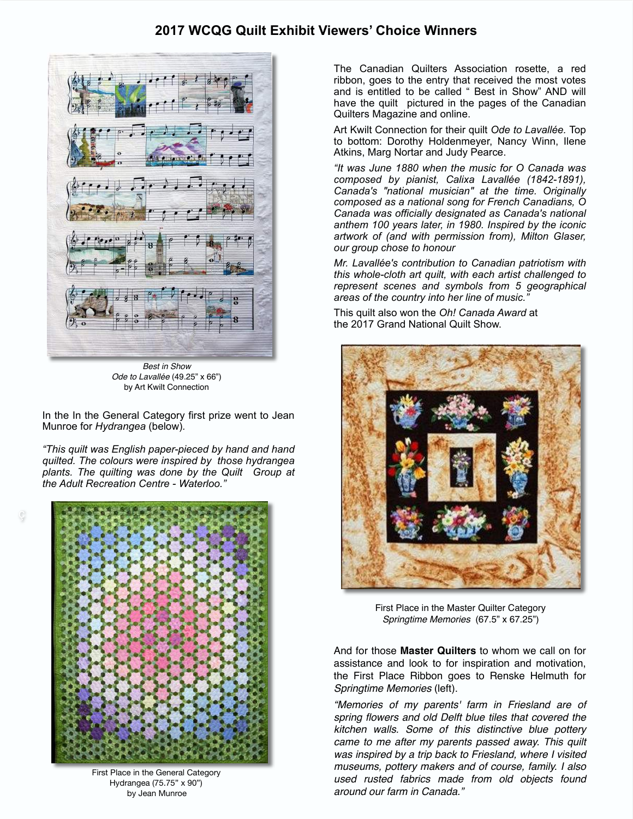## **2017 WCQG Quilt Exhibit Viewers' Choice Winners**



*Best in Show Ode to Lavallée* (49.25" x 66") by Art Kwilt Connection

In the In the General Category first prize went to Jean Munroe for *Hydrangea* (below)*.* 

*"This quilt was English paper-pieced by hand and hand quilted. The colours were inspired by those hydrangea plants. The quilting was done by the Quilt Group at the Adult Recreation Centre - Waterloo."*



First Place in the General Category Hydrangea (75.75" x 90") by Jean Munroe

The Canadian Quilters Association rosette, a red ribbon, goes to the entry that received the most votes and is entitled to be called " Best in Show" AND will have the quilt pictured in the pages of the Canadian Quilters Magazine and online.

Art Kwilt Connection for their quilt *Ode to Lavallée.* Top to bottom: Dorothy Holdenmeyer, Nancy Winn, Ilene Atkins, Marg Nortar and Judy Pearce.

*"It was June 1880 when the music for O Canada was composed by pianist, Calixa Lavallée (1842-1891), Canada's "national musician" at the time. Originally composed as a national song for French Canadians, O Canada was officially designated as Canada's national anthem 100 years later, in 1980. Inspired by the iconic artwork of (and with permission from), Milton Glaser, our group chose to honour* 

*Mr. Lavallée's contribution to Canadian patriotism with this whole-cloth art quilt, with each artist challenged to represent scenes and symbols from 5 geographical areas of the country into her line of music."* 

This quilt also won the *Oh! Canada Award* at the 2017 Grand National Quilt Show.



First Place in the Master Quilter Category *Springtime Memories* (67.5" x 67.25")

And for those **Master Quilters** to whom we call on for assistance and look to for inspiration and motivation, the First Place Ribbon goes to Renske Helmuth for *Springtime Memories* (left).

*"Memories of my parents' farm in Friesland are of spring flowers and old Delft blue tiles that covered the kitchen walls. Some of this distinctive blue pottery came to me after my parents passed away. This quilt was inspired by a trip back to Friesland, where I visited museums, pottery makers and of course, family. I also used rusted fabrics made from old objects found around our farm in Canada."*